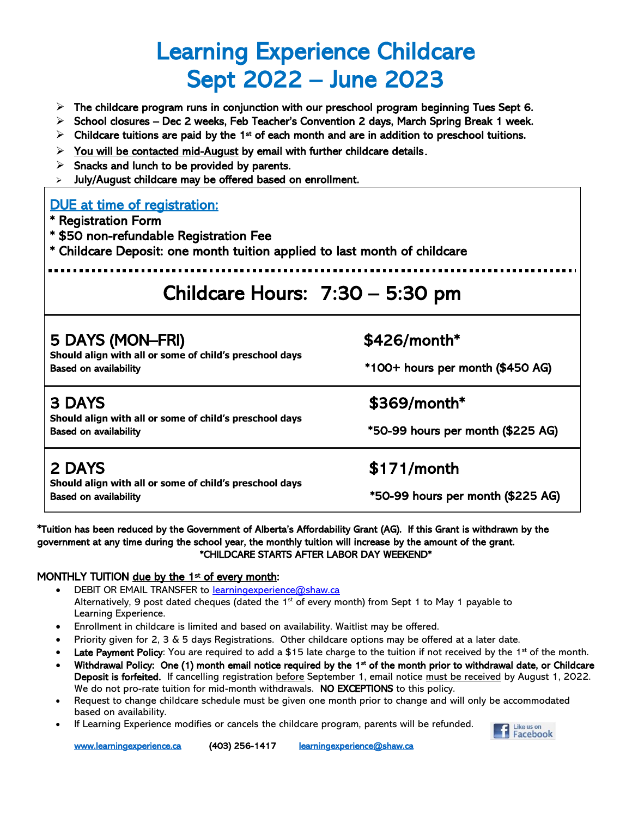# Learning Experience Childcare Sept 2022 – June 2023

- $\triangleright$  The childcare program runs in conjunction with our preschool program beginning Tues Sept 6.
- $\triangleright$  School closures Dec 2 weeks, Feb Teacher's Convention 2 days, March Spring Break 1 week.
- $\triangleright$  Childcare tuitions are paid by the 1<sup>st</sup> of each month and are in addition to preschool tuitions.
- ➢ You will be contacted mid-August by email with further childcare details**.**
- $\triangleright$  Snacks and lunch to be provided by parents.
- July/August childcare may be offered based on enrollment.

#### DUE at time of registration:

- \* Registration Form
- \* \$50 non-refundable Registration Fee
- \* Childcare Deposit: one month tuition applied to last month of childcare

## Childcare Hours: 7:30 – 5:30 pm

| 5 DAYS (MON-FRI)<br>Should align with all or some of child's preschool days<br><b>Based on availability</b> | $$426/month*$<br>*100+ hours per month (\$450 AG)<br>\$369/month*<br>*50-99 hours per month (\$225 AG) |  |
|-------------------------------------------------------------------------------------------------------------|--------------------------------------------------------------------------------------------------------|--|
| <b>3 DAYS</b><br>Should align with all or some of child's preschool days<br><b>Based on availability</b>    |                                                                                                        |  |
| 2 DAYS<br>Should align with all or some of child's preschool days<br><b>Based on availability</b>           | $$171/m$ onth<br>*50-99 hours per month (\$225 AG)                                                     |  |

\*Tuition has been reduced by the Government of Alberta's Affordability Grant (AG). If this Grant is withdrawn by the government at any time during the school year, the monthly tuition will increase by the amount of the grant. \*CHILDCARE STARTS AFTER LABOR DAY WEEKEND\*

#### MONTHLY TUITION due by the 1st of every month:

- DEBIT OR EMAIL TRANSFER to [learningexperience@shaw.ca](mailto:learningexperience@shaw.ca) Alternatively, 9 post dated cheques (dated the 1<sup>st</sup> of every month) from Sept 1 to May 1 payable to Learning Experience.
- Enrollment in childcare is limited and based on availability. Waitlist may be offered.
- Priority given for 2, 3 & 5 days Registrations. Other childcare options may be offered at a later date.
- Late Payment Policy: You are required to add a \$15 late charge to the tuition if not received by the  $1<sup>st</sup>$  of the month.
- Withdrawal Policy: One (1) month email notice required by the 1<sup>st</sup> of the month prior to withdrawal date, or Childcare Deposit is forfeited. If cancelling registration before September 1, email notice must be received by August 1, 2022. We do not pro-rate tuition for mid-month withdrawals. NO EXCEPTIONS to this policy.
- Request to change childcare schedule must be given one month prior to change and will only be accommodated based on availability.
- If Learning Experience modifies or cancels the childcare program, parents will be refunded.



[www.learningexperience.ca](http://www.learningexperience.ca/) (403) 256-1417 learningexperience@shaw.ca